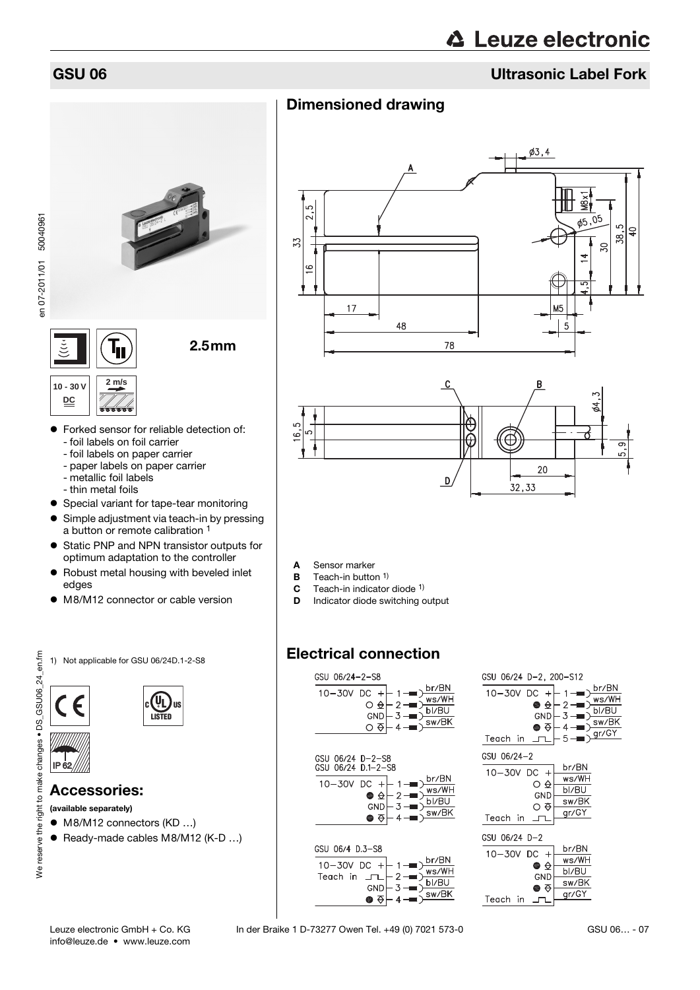# GSU 06 Ultrasonic Label Fork

# Dimensioned drawing





- A Sensor marker
- **B** Teach-in button <sup>1)</sup>
- **C** Teach-in indicator diode <sup>1)</sup><br>**D** Indicator diode switching c
- Indicator diode switching output

# Electrical connection

| br/BN<br>10-30V DC<br>$+$<br>ws/WH<br>O <del>Q</del> I<br>2<br>bl/BU<br>$-3 -$<br>GND<br>sw/BK<br>$4 -$<br>Ο Φ |  |
|----------------------------------------------------------------------------------------------------------------|--|
|                                                                                                                |  |
| GSU 06/24 D-2-S8<br>GSU 06/24 D.1-2-S8                                                                         |  |
| br/BN<br>10-30V DC<br>$+$<br>ws/WH<br>● ☆ <br>2<br>bl/BU<br>- 3<br>GND  <br>sw/BK<br>● ਨ।<br>$\overline{4}$    |  |
|                                                                                                                |  |
|                                                                                                                |  |
| GSU 06/4 D.3-S8<br>br/BN<br>$10 - 30V$ DC +<br>ws/WH                                                           |  |

 $\frac{1}{2}$  -  $\rightarrow$  Ms/WH<br>3 -  $\rightarrow$  bl/BU

 $sw/BK$ 



**2 m/s**



 Forked sensor for reliable detection of: - foil labels on foil carrier

2.5mm

- foil labels on paper carrier
- paper labels on paper carrier
- metallic foil labels
- thin metal foils
- Special variant for tape-tear monitoring
- **•** Simple adjustment via teach-in by pressing a button or remote calibration 1
- Static PNP and NPN transistor outputs for optimum adaptation to the controller
- Robust metal housing with beveled inlet edges
- M8/M12 connector or cable version
- 1) Not applicable for GSU 06/24D.1-2-S8

IP 62

 $(U_L)_{\scriptscriptstyle \rm HS}$ **LISTED**

# Accessories:

(available separately)

- M8/M12 connectors (KD ...)
- Ready-made cables M8/M12 (K-D ...)

info@leuze.de • www.leuze.com

Teach in  $\Box$ 

GND  $-3$ 

 $\bullet$   $\bar{\bullet}$